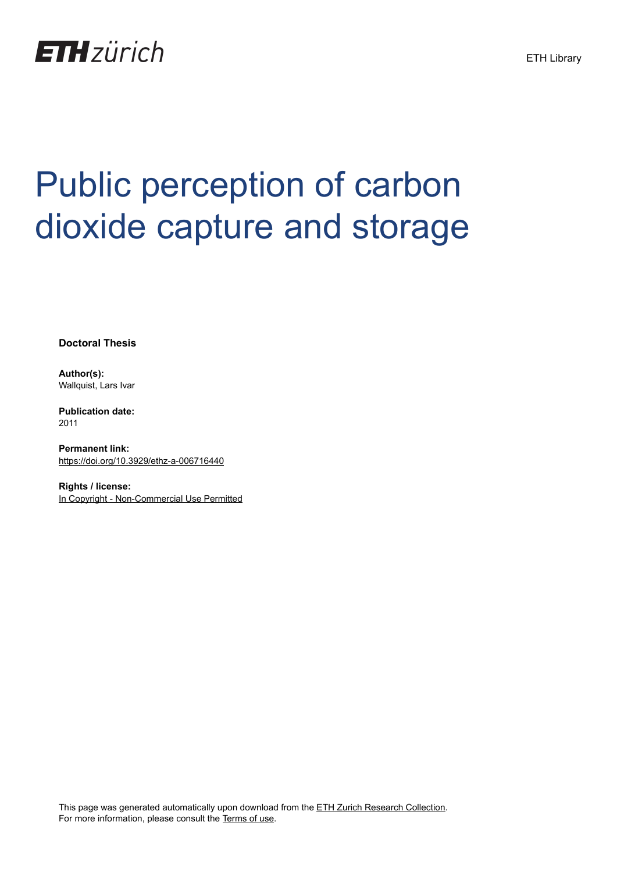

## Public perception of carbon dioxide capture and storage

**Doctoral Thesis**

**Author(s):** Wallquist, Lars Ivar

**Publication date:** 2011

**Permanent link:** <https://doi.org/10.3929/ethz-a-006716440>

**Rights / license:** [In Copyright - Non-Commercial Use Permitted](http://rightsstatements.org/page/InC-NC/1.0/)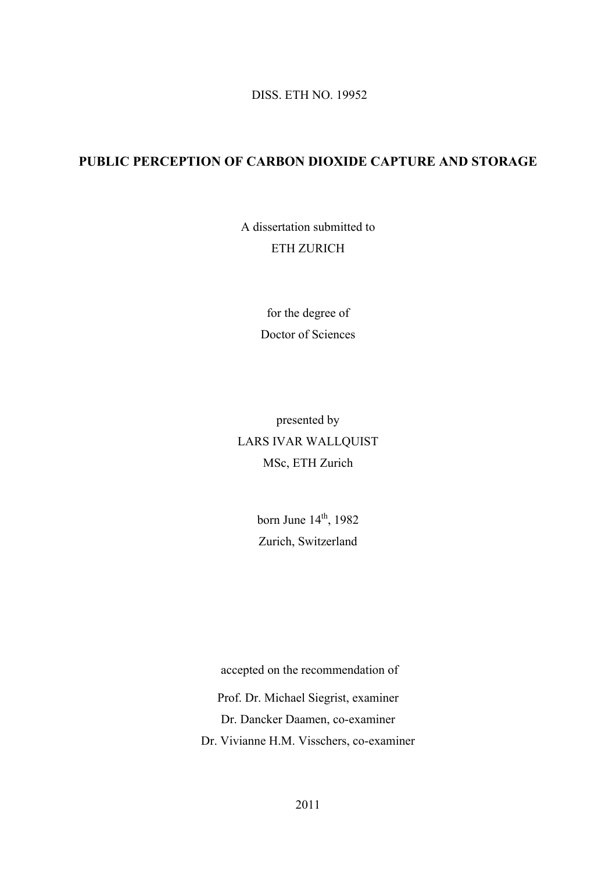DISS. ETH NO. 19952

## **PUBLIC PERCEPTION OF CARBON DIOXIDE CAPTURE AND STORAGE**

A dissertation submitted to ETH ZURICH

> for the degree of Doctor of Sciences

presented by LARS IVAR WALLQUIST MSc, ETH Zurich

> born June  $14<sup>th</sup>$ , 1982 Zurich, Switzerland

accepted on the recommendation of Prof. Dr. Michael Siegrist, examiner Dr. Dancker Daamen, co-examiner Dr. Vivianne H.M. Visschers, co-examiner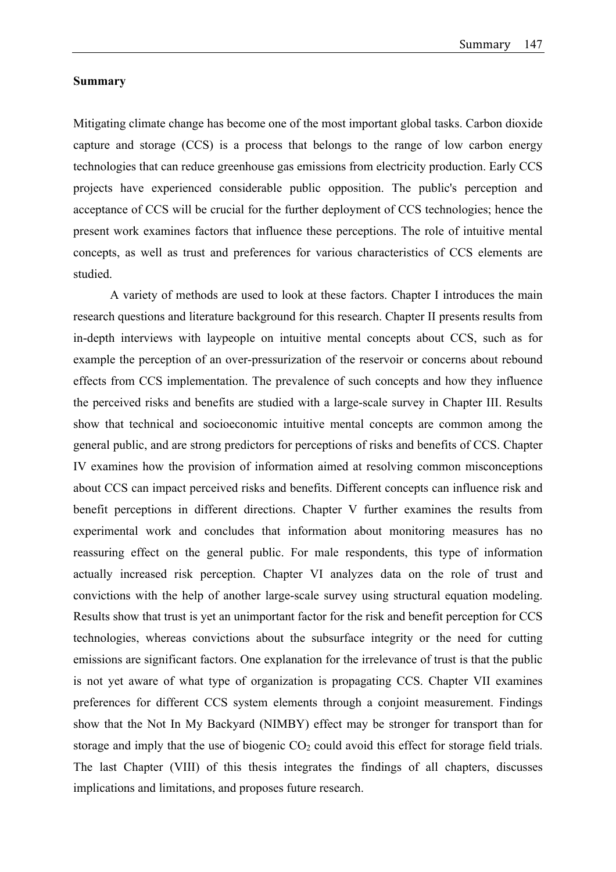## **Summary**

Mitigating climate change has become one of the most important global tasks. Carbon dioxide capture and storage (CCS) is a process that belongs to the range of low carbon energy technologies that can reduce greenhouse gas emissions from electricity production. Early CCS projects have experienced considerable public opposition. The public's perception and acceptance of CCS will be crucial for the further deployment of CCS technologies; hence the present work examines factors that influence these perceptions. The role of intuitive mental concepts, as well as trust and preferences for various characteristics of CCS elements are studied.

A variety of methods are used to look at these factors. Chapter I introduces the main research questions and literature background for this research. Chapter II presents results from in-depth interviews with laypeople on intuitive mental concepts about CCS, such as for example the perception of an over-pressurization of the reservoir or concerns about rebound effects from CCS implementation. The prevalence of such concepts and how they influence the perceived risks and benefits are studied with a large-scale survey in Chapter III. Results show that technical and socioeconomic intuitive mental concepts are common among the general public, and are strong predictors for perceptions of risks and benefits of CCS. Chapter IV examines how the provision of information aimed at resolving common misconceptions about CCS can impact perceived risks and benefits. Different concepts can influence risk and benefit perceptions in different directions. Chapter V further examines the results from experimental work and concludes that information about monitoring measures has no reassuring effect on the general public. For male respondents, this type of information actually increased risk perception. Chapter VI analyzes data on the role of trust and convictions with the help of another large-scale survey using structural equation modeling. Results show that trust is yet an unimportant factor for the risk and benefit perception for CCS technologies, whereas convictions about the subsurface integrity or the need for cutting emissions are significant factors. One explanation for the irrelevance of trust is that the public is not yet aware of what type of organization is propagating CCS. Chapter VII examines preferences for different CCS system elements through a conjoint measurement. Findings show that the Not In My Backyard (NIMBY) effect may be stronger for transport than for storage and imply that the use of biogenic  $CO<sub>2</sub>$  could avoid this effect for storage field trials. The last Chapter (VIII) of this thesis integrates the findings of all chapters, discusses implications and limitations, and proposes future research.